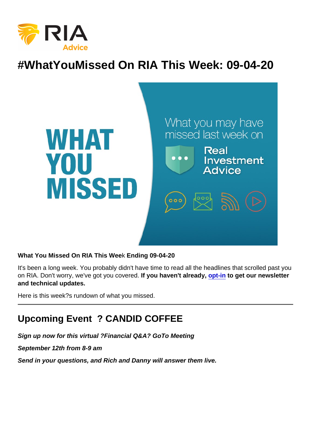# #WhatYouMissed On RIA This Week: 09-04-20

What You Missed On RIA This Wee k Ending 09-04-20

It's been a long week. You probably didn't have time to read all the headlines that scrolled past you on RIA. Don't worry, we've got you covered. If you haven't already, [opt-in](https://bit.ly/2Ph7UEL) to get our newsletter and technical updates.

Here is this week?s rundown of what you missed.

# Upcoming Event ? CANDID COFFEE

Sign up now for this virtual ?Financial Q&A? GoTo Meeting

September 12th from 8-9 am

Send in your questions, and Rich and Danny will answer them live.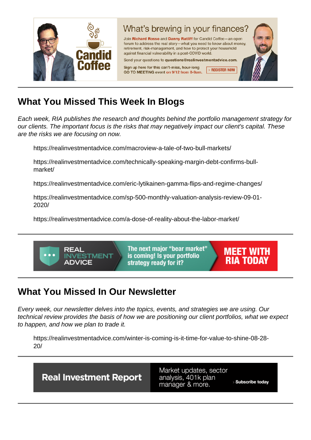# What You Missed This Week I n Blogs

Each week, RIA publishes the research and thoughts behind the portfolio management strategy for our clients. The important focus is the risks that may negatively impact our client's capital. These are the risks we are focusing on now.

https://realinvestmentadvice.com/macroview-a-tale-of-two-bull-markets/

https://realinvestmentadvice.com/technically-speaking-margin-debt-confirms-bullmarket/

https://realinvestmentadvice.com/eric-lytikainen-gamma-flips-and-regime-changes/

https://realinvestmentadvice.com/sp-500-monthly-valuation-analysis-review-09-01- 2020/

https://realinvestmentadvice.com/a-dose-of-reality-about-the-labor-market/

# What You Missed In Our Newsletter

Every week, our newsletter delves into the topics, events, and strategies we are using. Our technical review provides the basis of how we are positioning our client portfolios, what we expect to happen, and how we plan to trade it.

https://realinvestmentadvice.com/winter-is-coming-is-it-time-for-value-to-shine-08-28- 20/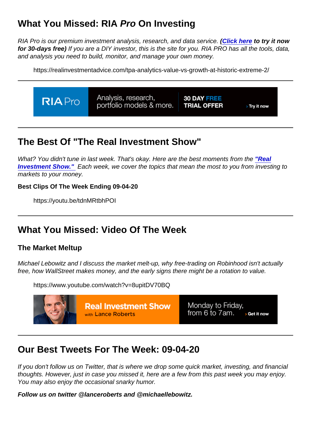# What You Missed: RIA Pro On Investing

RIA Pro is our premium investment analysis, research, and data service. [\(Click here](https://riapro.net/register) to try it now for 30-days free) If you are a DIY investor, this is the site for you. RIA PRO has all the tools, data, and analysis you need to build, monitor, and manage your own money.

https://realinvestmentadvice.com/tpa-analytics-value-vs-growth-at-historic-extreme-2/

### The Best Of "The Real Investment Show"

What? You didn't tune in last week. That's okay. Here are the best moments from the ["Real](https://www.youtube.com/channel/UCXVMMgEidXlrTM1coedg70A/videos) [Investment Show."](https://www.youtube.com/channel/UCXVMMgEidXlrTM1coedg70A/videos) Each week, we cover the topics that mean the most to you from investing to markets to your money.

Best Clips Of The Week Ending 09-04-20

https://youtu.be/tdnMRtbhPOI

# What You Missed: Video Of The Week

#### The Market Meltup

Michael Lebowitz and I discuss the market melt-up, why free-trading on Robinhood isn't actually free, how WallStreet makes money, and the early signs there might be a rotation to value.

https://www.youtube.com/watch?v=8upitDV70BQ

### Our Best Tweets For The Week: 09-04-20

If you don't follow us on Twitter, that is where we drop some quick market, investing, and financial thoughts. However, just in case you missed it, here are a few from this past week you may enjoy. You may also enjoy the occasional snarky humor.

Follow us on twitter @lanceroberts and @michaellebowitz.